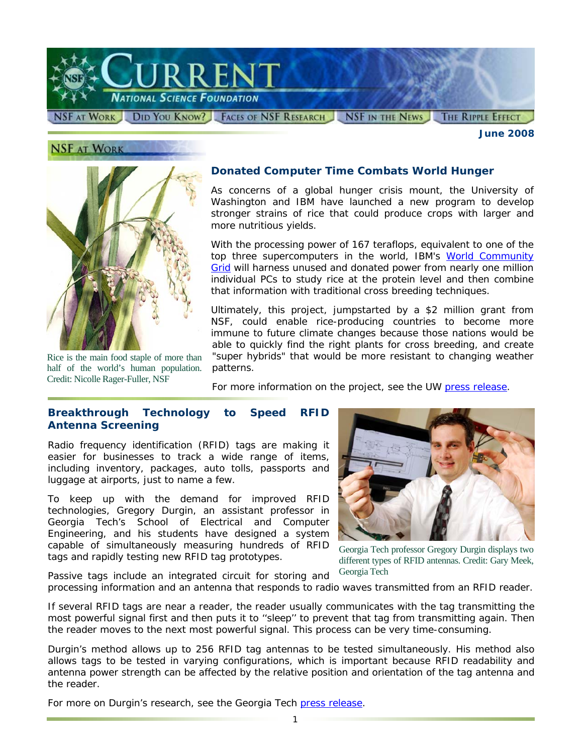

**NSF AT WORK** 

Rice is the main food staple of more than half of the world's human population.

Credit: Nicolle Rager-Fuller, NSF

# **Donated Computer Time Combats World Hunger**

As concerns of a global hunger crisis mount, the University of Washington and IBM have launched a new program to develop stronger strains of rice that could produce crops with larger and more nutritious yields.

With the processing power of 167 teraflops, equivalent to one of the top three supercomputers in the world, IBM's World Community [Grid](http://www.nsf.gov/cgi-bin/goodbye?http://www.worldcommunitygrid.org/) will harness unused and donated power from nearly one million individual PCs to study rice at the protein level and then combine that information with traditional cross breeding techniques.

Ultimately, this project, jumpstarted by a \$2 million grant from NSF, could enable rice-producing countries to become more immune to future climate changes because those nations would be able to quickly find the right plants for cross breeding, and create "super hybrids" that would be more resistant to changing weather patterns.

For more information on the project, see the UW [press release.](http://www.nsf.gov/cgi-bin/goodbye?http://uwnews.org/article.asp?articleID=41700)

## **Breakthrough Technology to Speed RFID Antenna Screening**

Radio frequency identification (RFID) tags are making it easier for businesses to track a wide range of items, including inventory, packages, auto tolls, passports and luggage at airports, just to name a few.

To keep up with the demand for improved RFID technologies, Gregory Durgin, an assistant professor in Georgia Tech's School of Electrical and Computer Engineering, and his students have designed a system capable of simultaneously measuring hundreds of RFID tags and rapidly testing new RFID tag prototypes.

Passive tags include an integrated circuit for storing and



Georgia Tech professor Gregory Durgin displays two different types of RFID antennas. Credit: Gary Meek, Georgia Tech

processing information and an antenna that responds to radio waves transmitted from an RFID reader.

If several RFID tags are near a reader, the reader usually communicates with the tag transmitting the most powerful signal first and then puts it to ''sleep'' to prevent that tag from transmitting again. Then the reader moves to the next most powerful signal. This process can be very time-consuming.

Durgin's method allows up to 256 RFID tag antennas to be tested simultaneously. His method also allows tags to be tested in varying configurations, which is important because RFID readability and antenna power strength can be affected by the relative position and orientation of the tag antenna and the reader.

For more on Durgin's research, see the Georgia Tech [press release.](http://www.nsf.gov/cgi-bin/goodbye?http://gtresearchnews.gatech.edu/newsrelease/rfid-tags.htm)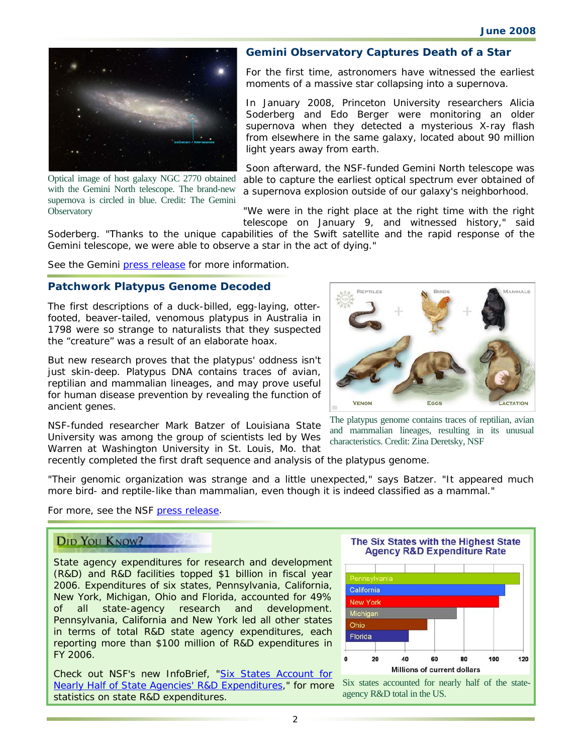

Optical image of host galaxy NGC 2770 obtained with the Gemini North telescope. The brand-new supernova is circled in blue. Credit: The Gemini **Observatory** 

#### **Gemini Observatory Captures Death of a Star**

For the first time, astronomers have witnessed the earliest moments of a massive star collapsing into a supernova.

In January 2008, Princeton University researchers Alicia Soderberg and Edo Berger were monitoring an older supernova when they detected a mysterious X-ray flash from elsewhere in the same galaxy, located about 90 million light years away from earth.

Soon afterward, the NSF-funded Gemini North telescope was able to capture the earliest optical spectrum ever obtained of a supernova explosion outside of our galaxy's neighborhood.

"We were in the right place at the right time with the right telescope on January 9, and witnessed history," said

Soderberg. "Thanks to the unique capabilities of the Swift satellite and the rapid response of the Gemini telescope, we were able to observe a star in the act of dying."

See the Gemini [press release](http://www.nsf.gov/cgi-bin/goodbye?http://www.gemini.edu/index.php?option=content&task=view&id=281) for more information.

### **Patchwork Platypus Genome Decoded**

The first descriptions of a duck-billed, egg-laying, otterfooted, beaver-tailed, venomous platypus in Australia in 1798 were so strange to naturalists that they suspected the "creature" was a result of an elaborate hoax.

But new research proves that the platypus' oddness isn't just skin-deep. Platypus DNA contains traces of avian, reptilian and mammalian lineages, and may prove useful for human disease prevention by revealing the function of ancient genes.

NSF-funded researcher Mark Batzer of Louisiana State University was among the group of scientists led by Wes Warren at Washington University in St. Louis, Mo. that



The platypus genome contains traces of reptilian, avian and mammalian lineages, resulting in its unusual characteristics. Credit: Zina Deretsky, NSF

recently completed the first draft sequence and analysis of the platypus genome.

"Their genomic organization was strange and a little unexpected," says Batzer. "It appeared much more bird- and reptile-like than mammalian, even though it is indeed classified as a mammal."

For more, see the NSF [press release.](http://www.nsf.gov/news/news_summ.jsp?cntn_id=111521&org=NSF&from=news)

# **DID YOU KNOW?**

State agency expenditures for research and development (R&D) and R&D facilities topped \$1 billion in fiscal year 2006. Expenditures of six states, Pennsylvania, California, New York, Michigan, Ohio and Florida, accounted for 49% of all state-agency research and development. Pennsylvania, California and New York led all other states in terms of total R&D state agency expenditures, each reporting more than \$100 million of R&D expenditures in FY 2006.

Check out NSF's new InfoBrief, "Six States Account for [Nearly Half of State Agencies' R&D Expenditures,](http://www.nsf.gov/statistics/infbrief/nsf08309/)" for more statistics on state R&D expenditures.

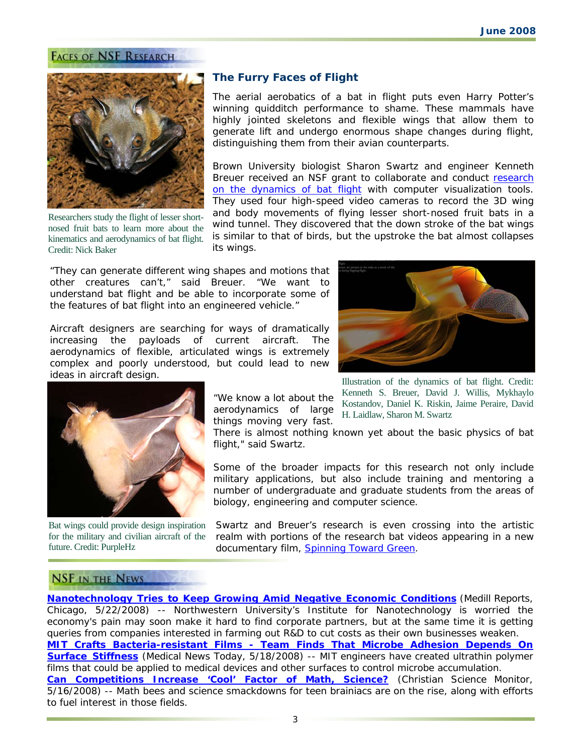#### **FACES OF NSF RESEARCH**



Researchers study the flight of lesser shortnosed fruit bats to learn more about the kinematics and aerodynamics of bat flight. Credit: Nick Baker

#### **The Furry Faces of Flight**

The aerial aerobatics of a bat in flight puts even Harry Potter's winning quidditch performance to shame. These mammals have highly jointed skeletons and flexible wings that allow them to generate lift and undergo enormous shape changes during flight, distinguishing them from their avian counterparts.

Brown University biologist Sharon Swartz and engineer Kenneth Breuer received an NSF grant to collaborate and conduct [research](http://www.nsf.gov/cgi-bin/goodbye?http://microfluids.engin.brown.edu/research/batflight.html)  [on the dynamics of bat flight](http://www.nsf.gov/cgi-bin/goodbye?http://microfluids.engin.brown.edu/research/batflight.html) with computer visualization tools. They used four high-speed video cameras to record the 3D wing and body movements of flying lesser short-nosed fruit bats in a wind tunnel. They discovered that the down stroke of the bat wings is similar to that of birds, but the upstroke the bat almost collapses its wings.

"They can generate different wing shapes and motions that other creatures can't," said Breuer. "We want to understand bat flight and be able to incorporate some of the features of bat flight into an engineered vehicle."

Aircraft designers are searching for ways of dramatically increasing the payloads of current aircraft. The aerodynamics of flexible, articulated wings is extremely complex and poorly understood, but could lead to new ideas in aircraft design.





Bat wings could provide design inspiration for the military and civilian aircraft of the future. Credit: PurpleHz

"We know a lot about the aerodynamics of large things moving very fast.

Illustration of the dynamics of bat flight. Credit: Kenneth S. Breuer, David J. Willis, Mykhaylo Kostandov, Daniel K. Riskin, Jaime Peraire, David H. Laidlaw, Sharon M. Swartz

There is almost nothing known yet about the basic physics of bat flight," said Swartz.

Some of the broader impacts for this research not only include military applications, but also include training and mentoring a number of undergraduate and graduate students from the areas of biology, engineering and computer science.

Swartz and Breuer's research is even crossing into the artistic realm with portions of the research bat videos appearing in a new documentary film, [Spinning Toward Green.](http://www.nsf.gov/cgi-bin/goodbye?http://www.spinningtowardgreen.com/)

### **NSF IN THE NEWS**

**[Nanotechnology Tries to Keep Growing Amid Negative Economic Conditions](http://www.nsf.gov/cgi-bin/goodbye?http://news.medill.northwestern.edu/chicago/news.aspx?id=90261)** (*Medill Reports, Chicago, 5/22/2008*) -- Northwestern University's Institute for Nanotechnology is worried the economy's pain may soon make it hard to find corporate partners, but at the same time it is getting queries from companies interested in farming out R&D to cut costs as their own businesses weaken. **[MIT Crafts Bacteria-resistant Films - Team Finds That Microbe Adhesion Depends On](http://www.nsf.gov/cgi-bin/goodbye?http://www.medicalnewstoday.com/articles/107678.php)  [Surface Stiffness](http://www.nsf.gov/cgi-bin/goodbye?http://www.medicalnewstoday.com/articles/107678.php)** (*Medical News Today, 5/18/2008*) -- MIT engineers have created ultrathin polymer films that could be applied to medical devices and other surfaces to control microbe accumulation. **[Can Competitions Increase 'Cool' Factor of Math, Science?](http://www.nsf.gov/cgi-bin/goodbye?http://www.csmonitor.com/2008/0517/p01s01-usgn.html)** (*Christian Science Monitor, 5/16/2008*) -- Math bees and science smackdowns for teen brainiacs are on the rise, along with efforts to fuel interest in those fields.